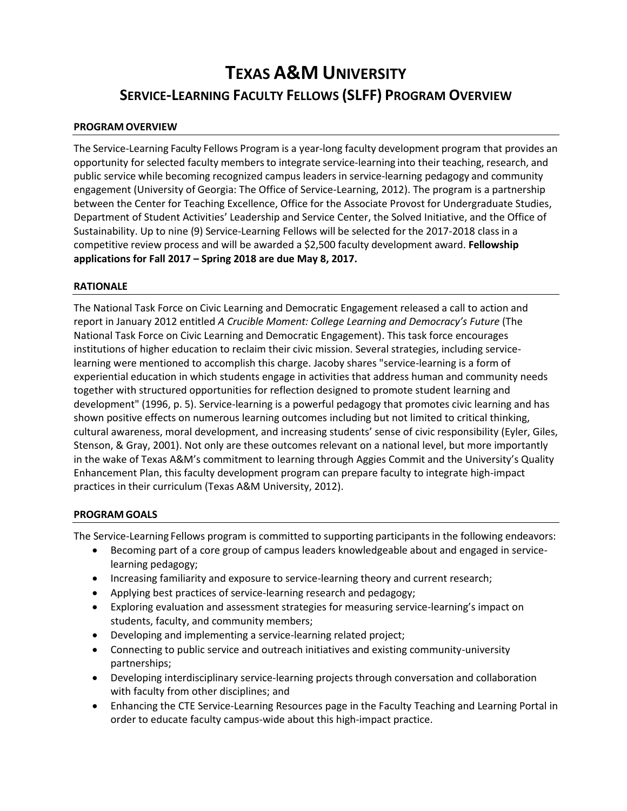# **TEXAS A&M UNIVERSITY SERVICE-LEARNING FACULTY FELLOWS (SLFF) PROGRAM OVERVIEW**

## **PROGRAM OVERVIEW**

The Service-Learning Faculty Fellows Program is a year-long faculty development program that provides an opportunity for selected faculty members to integrate service-learning into their teaching, research, and public service while becoming recognized campus leaders in service-learning pedagogy and community engagement (University of Georgia: The Office of Service-Learning, 2012). The program is a partnership between the Center for Teaching Excellence, Office for the Associate Provost for Undergraduate Studies, Department of Student Activities' Leadership and Service Center, the Solved Initiative, and the Office of Sustainability. Up to nine (9) Service-Learning Fellows will be selected for the 2017-2018 classin a competitive review process and will be awarded a \$2,500 faculty development award. **Fellowship applications for Fall 2017 – Spring 2018 are due May 8, 2017.**

## **RATIONALE**

The National Task Force on Civic Learning and Democratic Engagement released a call to action and report in January 2012 entitled *A Crucible Moment: College Learning and Democracy's Future* (The National Task Force on Civic Learning and Democratic Engagement). This task force encourages institutions of higher education to reclaim their civic mission. Several strategies, including servicelearning were mentioned to accomplish this charge. Jacoby shares "service-learning is a form of experiential education in which students engage in activities that address human and community needs together with structured opportunities for reflection designed to promote student learning and development" (1996, p. 5). Service-learning is a powerful pedagogy that promotes civic learning and has shown positive effects on numerous learning outcomes including but not limited to critical thinking, cultural awareness, moral development, and increasing students' sense of civic responsibility (Eyler, Giles, Stenson, & Gray, 2001). Not only are these outcomes relevant on a national level, but more importantly in the wake of Texas A&M's commitment to learning through Aggies Commit and the University's Quality Enhancement Plan, this faculty development program can prepare faculty to integrate high-impact practices in their curriculum (Texas A&M University, 2012).

## **PROGRAM GOALS**

The Service-Learning Fellows program is committed to supporting participantsin the following endeavors:

- Becoming part of a core group of campus leaders knowledgeable about and engaged in servicelearning pedagogy;
- Increasing familiarity and exposure to service-learning theory and current research;
- Applying best practices of service-learning research and pedagogy;
- Exploring evaluation and assessment strategies for measuring service-learning's impact on students, faculty, and community members;
- Developing and implementing a service-learning related project;
- Connecting to public service and outreach initiatives and existing community-university partnerships;
- Developing interdisciplinary service-learning projects through conversation and collaboration with faculty from other disciplines; and
- Enhancing the CTE Service-Learning Resources page in the Faculty Teaching and Learning Portal in order to educate faculty campus-wide about this high-impact practice.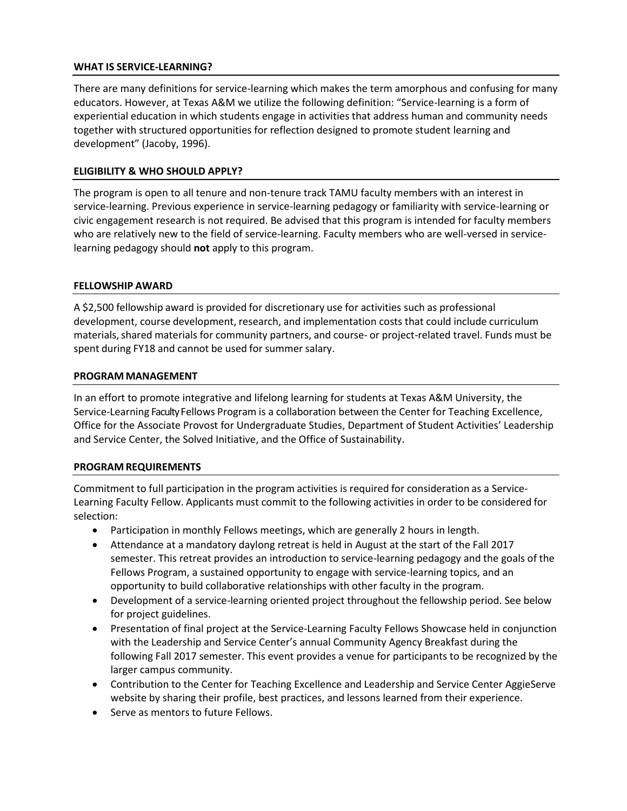## **WHAT IS SERVICE-LEARNING?**

There are many definitions for service-learning which makes the term amorphous and confusing for many educators. However, at Texas A&M we utilize the following definition: "Service-learning is a form of experiential education in which students engage in activities that address human and community needs together with structured opportunities for reflection designed to promote student learning and development" (Jacoby, 1996).

## **ELIGIBILITY & WHO SHOULD APPLY?**

The program is open to all tenure and non-tenure track TAMU faculty members with an interest in service-learning. Previous experience in service-learning pedagogy or familiarity with service-learning or civic engagement research is not required. Be advised that this program is intended for faculty members who are relatively new to the field of service-learning. Faculty members who are well-versed in servicelearning pedagogy should **not** apply to this program.

#### **FELLOWSHIP AWARD**

A \$2,500 fellowship award is provided for discretionary use for activities such as professional development, course development, research, and implementation costs that could include curriculum materials, shared materials for community partners, and course- or project-related travel. Funds must be spent during FY18 and cannot be used for summer salary.

## **PROGRAM MANAGEMENT**

In an effort to promote integrative and lifelong learning for students at Texas A&M University, the Service-Learning Faculty Fellows Program is a collaboration between the Center for Teaching Excellence, Office for the Associate Provost for Undergraduate Studies, Department of Student Activities' Leadership and Service Center, the Solved Initiative, and the Office of Sustainability.

#### **PROGRAM REQUIREMENTS**

Commitment to full participation in the program activities is required for consideration as a Service-Learning Faculty Fellow. Applicants must commit to the following activities in order to be considered for selection:

- Participation in monthly Fellows meetings, which are generally 2 hours in length.
- Attendance at a mandatory daylong retreat is held in August at the start of the Fall 2017 semester. This retreat provides an introduction to service-learning pedagogy and the goals of the Fellows Program, a sustained opportunity to engage with service-learning topics, and an opportunity to build collaborative relationships with other faculty in the program.
- Development of a service-learning oriented project throughout the fellowship period. See below for project guidelines.
- Presentation of final project at the Service-Learning Faculty Fellows Showcase held in conjunction with the Leadership and Service Center's annual Community Agency Breakfast during the following Fall 2017 semester. This event provides a venue for participants to be recognized by the larger campus community.
- Contribution to the Center for Teaching Excellence and Leadership and Service Center AggieServe website by sharing their profile, best practices, and lessons learned from their experience.
- Serve as mentors to future Fellows.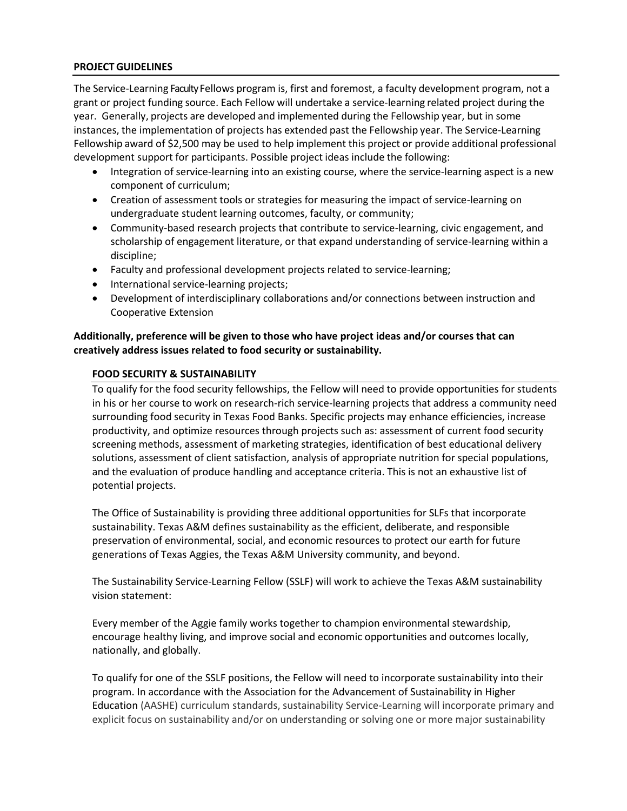## **PROJECTGUIDELINES**

The Service-Learning Faculty Fellows program is, first and foremost, a faculty development program, not a grant or project funding source. Each Fellow will undertake a service-learning related project during the year. Generally, projects are developed and implemented during the Fellowship year, but in some instances, the implementation of projects has extended past the Fellowship year. The Service-Learning Fellowship award of \$2,500 may be used to help implement this project or provide additional professional development support for participants. Possible project ideas include the following:

- Integration of service-learning into an existing course, where the service-learning aspect is a new component of curriculum;
- Creation of assessment tools or strategies for measuring the impact of service-learning on undergraduate student learning outcomes, faculty, or community;
- Community-based research projects that contribute to service-learning, civic engagement, and scholarship of engagement literature, or that expand understanding of service-learning within a discipline;
- Faculty and professional development projects related to service-learning;
- International service-learning projects;
- Development of interdisciplinary collaborations and/or connections between instruction and Cooperative Extension

## **Additionally, preference will be given to those who have project ideas and/or courses that can creatively address issues related to food security or sustainability.**

## **FOOD SECURITY & SUSTAINABILITY**

To qualify for the food security fellowships, the Fellow will need to provide opportunities for students in his or her course to work on research-rich service-learning projects that address a community need surrounding food security in Texas Food Banks. Specific projects may enhance efficiencies, increase productivity, and optimize resources through projects such as: assessment of current food security screening methods, assessment of marketing strategies, identification of best educational delivery solutions, assessment of client satisfaction, analysis of appropriate nutrition for special populations, and the evaluation of produce handling and acceptance criteria. This is not an exhaustive list of potential projects.

The Office of Sustainability is providing three additional opportunities for SLFs that incorporate sustainability. Texas A&M defines sustainability as the efficient, deliberate, and responsible preservation of environmental, social, and economic resources to protect our earth for future generations of Texas Aggies, the Texas A&M University community, and beyond.

The Sustainability Service-Learning Fellow (SSLF) will work to achieve the Texas A&M sustainability vision statement:

Every member of the Aggie family works together to champion environmental stewardship, encourage healthy living, and improve social and economic opportunities and outcomes locally, nationally, and globally.

To qualify for one of the SSLF positions, the Fellow will need to incorporate sustainability into their program. In accordance with the Association for the Advancement of Sustainability in Higher Education (AASHE) curriculum standards, sustainability Service-Learning will incorporate primary and explicit focus on sustainability and/or on understanding or solving one or more major sustainability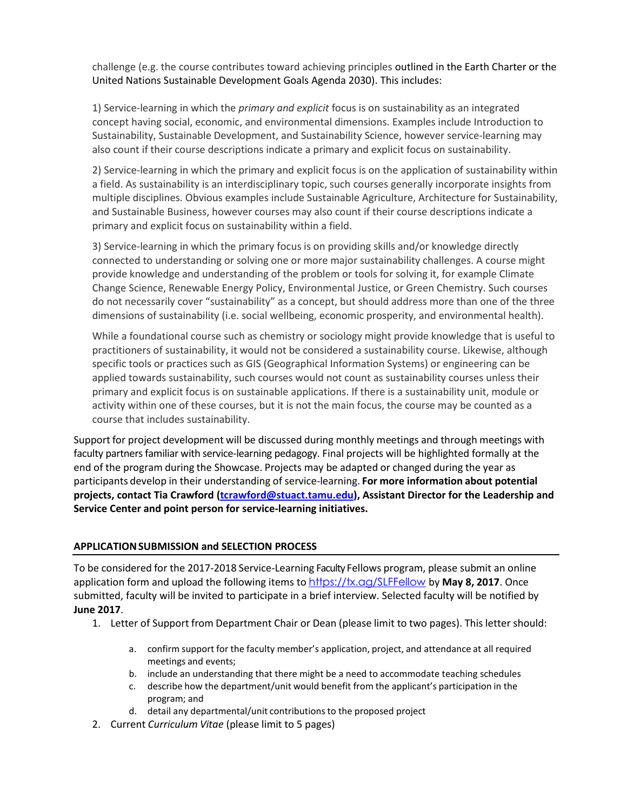challenge (e.g. the course contributes toward achieving principles outlined in the [Earth Charter](http://www.earthcharterinaction.org/content/pages/read-the-charter.html) or the United Nations Sustainable Development Goals [Agenda 2030\)](http://www.un.org/sustainabledevelopment/sustainable-development-goals/). This includes:

1) Service-learning in which the *primary and explicit* focus is on sustainability as an integrated concept having social, economic, and environmental dimensions. Examples include Introduction to Sustainability, Sustainable Development, and Sustainability Science, however service-learning may also count if their course descriptions indicate a primary and explicit focus on sustainability.

2) Service-learning in which the primary and explicit focus is on the application of sustainability within a field. As sustainability is an interdisciplinary topic, such courses generally incorporate insights from multiple disciplines. Obvious examples include Sustainable Agriculture, Architecture for Sustainability, and Sustainable Business, however courses may also count if their course descriptions indicate a primary and explicit focus on sustainability within a field.

3) Service-learning in which the primary focus is on providing skills and/or knowledge directly connected to understanding or solving one or more major sustainability challenges. A course might provide knowledge and understanding of the problem or tools for solving it, for example Climate Change Science, Renewable Energy Policy, Environmental Justice, or Green Chemistry. Such courses do not necessarily cover "sustainability" as a concept, but should address more than one of the three dimensions of sustainability (i.e. social wellbeing, economic prosperity, and environmental health).

While a foundational course such as chemistry or sociology might provide knowledge that is useful to practitioners of sustainability, it would not be considered a sustainability course. Likewise, although specific tools or practices such as GIS (Geographical Information Systems) or engineering can be applied towards sustainability, such courses would not count as sustainability courses unless their primary and explicit focus is on sustainable applications. If there is a sustainability unit, module or activity within one of these courses, but it is not the main focus, the course may be counted as a course that includes sustainability.

Support for project development will be discussed during monthly meetings and through meetings with faculty partners familiar with service-learning pedagogy. Final projects will be highlighted formally at the end of the program during the Showcase. Projects may be adapted or changed during the year as participants develop in their understanding of service-learning. **For more information about potential projects, contact Tia Crawford [\(tcrawford@stuact.tamu.edu\)](mailto:tcrawford@stuact.tamu.edu), Assistant Director for the Leadership and Service Center and point person for service-learning initiatives.** 

## **APPLICATIONSUBMISSION and SELECTION PROCESS**

To be considered for the 2017-2018 Service-Learning Faculty Fellows program, please submit an online application form and upload the following items to <https://tx.ag/SLFFellow> by May 8, 2017. Once submitted, faculty will be invited to participate in a brief interview. Selected faculty will be notified by **June 2017**.

- 1. Letter of Support from Department Chair or Dean (please limit to two pages). This letter should:
	- a. confirm support for the faculty member's application, project, and attendance at all required meetings and events;
	- b. include an understanding that there might be a need to accommodate teaching schedules
	- c. describe how the department/unit would benefit from the applicant's participation in the program; and
	- d. detail any departmental/unit contributionsto the proposed project
- 2. Current *Curriculum Vitae* (please limit to 5 pages)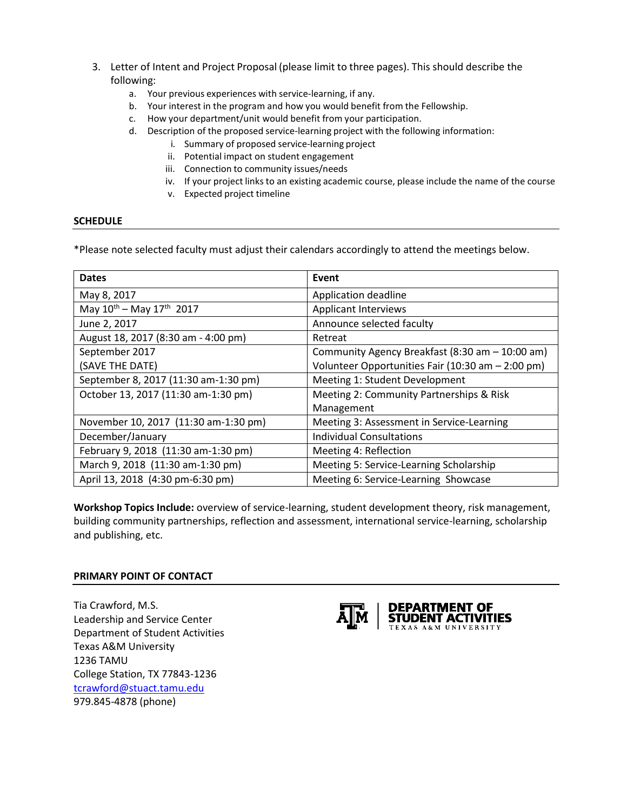- 3. Letter of Intent and Project Proposal (please limit to three pages). This should describe the following:
	- a. Your previous experiences with service-learning, if any.
	- b. Your interest in the program and how you would benefit from the Fellowship.
	- c. How your department/unit would benefit from your participation.
	- d. Description of the proposed service-learning project with the following information:
		- i. Summary of proposed service-learning project
		- ii. Potential impact on student engagement
		- iii. Connection to community issues/needs
		- iv. If your project links to an existing academic course, please include the name of the course
		- v. Expected project timeline

## **SCHEDULE**

\*Please note selected faculty must adjust their calendars accordingly to attend the meetings below.

| <b>Dates</b>                         | Event                                             |
|--------------------------------------|---------------------------------------------------|
| May 8, 2017                          | Application deadline                              |
| May $10^{th}$ – May $17^{th}$ 2017   | <b>Applicant Interviews</b>                       |
| June 2, 2017                         | Announce selected faculty                         |
| August 18, 2017 (8:30 am - 4:00 pm)  | Retreat                                           |
| September 2017                       | Community Agency Breakfast (8:30 am - 10:00 am)   |
| (SAVE THE DATE)                      | Volunteer Opportunities Fair (10:30 am - 2:00 pm) |
| September 8, 2017 (11:30 am-1:30 pm) | Meeting 1: Student Development                    |
| October 13, 2017 (11:30 am-1:30 pm)  | Meeting 2: Community Partnerships & Risk          |
|                                      | Management                                        |
| November 10, 2017 (11:30 am-1:30 pm) | Meeting 3: Assessment in Service-Learning         |
| December/January                     | Individual Consultations                          |
| February 9, 2018 (11:30 am-1:30 pm)  | Meeting 4: Reflection                             |
| March 9, 2018 (11:30 am-1:30 pm)     | Meeting 5: Service-Learning Scholarship           |
| April 13, 2018 (4:30 pm-6:30 pm)     | Meeting 6: Service-Learning Showcase              |

**Workshop Topics Include:** overview of service-learning, student development theory, risk management, building community partnerships, reflection and assessment, international service-learning, scholarship and publishing, etc.

#### **PRIMARY POINT OF CONTACT**

Tia Crawford, M.S. Leadership and Service Center Department of Student Activities Texas A&M University 1236 TAMU College Station, TX 77843-1236 [tcrawford@stuact.tamu.edu](mailto:tcrawford@stuact.tamu.edu) 979.845-4878 (phone)